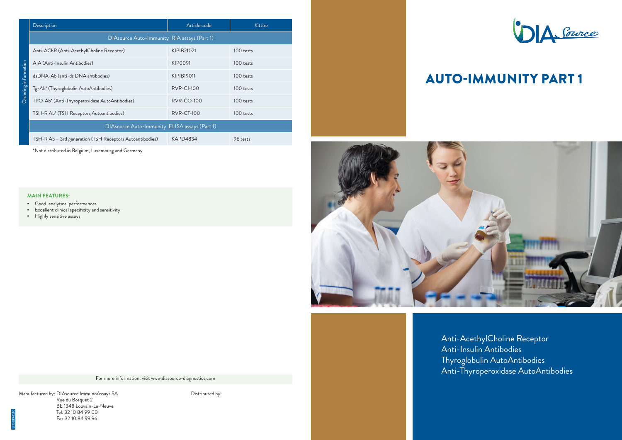Manufactured by: DIAsource ImmunoAssays SA Rue du Bosquet 2 BE 1348 Louvain-La-Neuve Tel. 32 10 84 99 00 Fax 32 10 84 99 96

Distributed by:





For more information: visit www.diasource-diagnostics.com

- ▪︎ Good analytical performances
- Excellent clinical specificity and sensitivity
- **E** Highly sensitive assays

| Description                                              | Article code      | Kitsize   |  |  |  |  |  |
|----------------------------------------------------------|-------------------|-----------|--|--|--|--|--|
| DIAsource Auto-Immunity RIA assays (Part 1)              |                   |           |  |  |  |  |  |
| Anti-AChR (Anti-AcethylCholine Receptor)                 | KIPIB21021        | 100 tests |  |  |  |  |  |
| AIA (Anti-Insulin Antibodies)                            | KIP0091           | 100 tests |  |  |  |  |  |
| dsDNA-Ab (anti-ds DNA antibodies)                        | KIPIB19011        | 100 tests |  |  |  |  |  |
| Tg-Ab* (Thyroglobulin AutoAntibodies)                    | <b>RVR-CI-100</b> | 100 tests |  |  |  |  |  |
| TPO-Ab* (Anti-Thyroperoxidase AutoAntibodies)            | <b>RVR-CO-100</b> | 100 tests |  |  |  |  |  |
| TSH-R Ab* (TSH Receptors Autoantibodies)                 | <b>RVR-CT-100</b> | 100 tests |  |  |  |  |  |
| DIAsource Auto-Immunity ELISA assays (Part 1)            |                   |           |  |  |  |  |  |
| TSH-R Ab - 3rd generation (TSH Receptors Autoantibodies) | <b>KAPD4834</b>   | 96 tests  |  |  |  |  |  |
| *Not distributed in Belgium, Luxemburg and Germany       |                   |           |  |  |  |  |  |

| <b>MAIN FEATURES:</b> |
|-----------------------|

# AUTO-IMMUNITY PART 1

Anti-AcethylCholine Receptor Anti-Insulin Antibodies Thyroglobulin AutoAntibodies Anti-Thyroperoxidase AutoAntibodies



LIT3019-1510